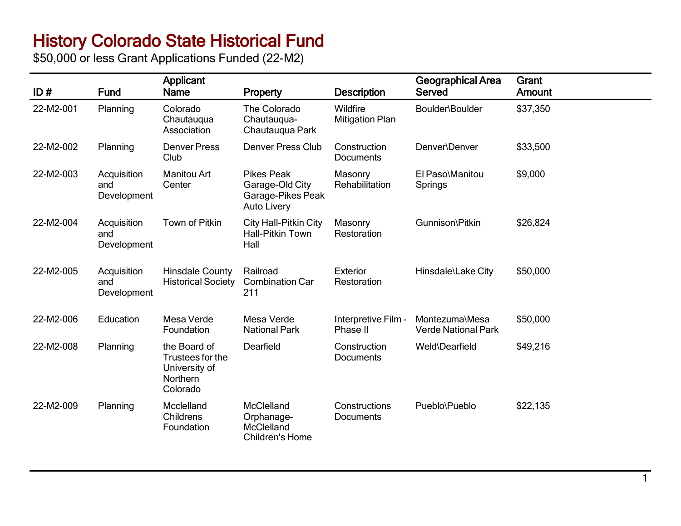## History Colorado State Historical Fund

\$50,000 or less Grant Applications Funded (22-M2)

| ID#       | <b>Fund</b>                       | Applicant<br><b>Name</b>                                                         | Property                                                                        | <b>Description</b>                 | <b>Geographical Area</b><br>Served           | Grant<br>Amount |
|-----------|-----------------------------------|----------------------------------------------------------------------------------|---------------------------------------------------------------------------------|------------------------------------|----------------------------------------------|-----------------|
| 22-M2-001 | Planning                          | Colorado<br>Chautauqua<br>Association                                            | The Colorado<br>Chautauqua-<br>Chautauqua Park                                  | Wildfire<br><b>Mitigation Plan</b> | Boulder\Boulder                              | \$37,350        |
| 22-M2-002 | Planning                          | <b>Denver Press</b><br>Club                                                      | <b>Denver Press Club</b>                                                        | Construction<br><b>Documents</b>   | Denver\Denver                                | \$33,500        |
| 22-M2-003 | Acquisition<br>and<br>Development | <b>Manitou Art</b><br>Center                                                     | <b>Pikes Peak</b><br>Garage-Old City<br>Garage-Pikes Peak<br><b>Auto Livery</b> | Masonry<br>Rehabilitation          | El Paso\Manitou<br>Springs                   | \$9,000         |
| 22-M2-004 | Acquisition<br>and<br>Development | <b>Town of Pitkin</b>                                                            | <b>City Hall-Pitkin City</b><br><b>Hall-Pitkin Town</b><br>Hall                 | Masonry<br>Restoration             | Gunnison\Pitkin                              | \$26,824        |
| 22-M2-005 | Acquisition<br>and<br>Development | <b>Hinsdale County</b><br><b>Historical Society</b>                              | Railroad<br><b>Combination Car</b><br>211                                       | <b>Exterior</b><br>Restoration     | Hinsdale\Lake City                           | \$50,000        |
| 22-M2-006 | Education                         | Mesa Verde<br>Foundation                                                         | Mesa Verde<br><b>National Park</b>                                              | Interpretive Film -<br>Phase II    | Montezuma\Mesa<br><b>Verde National Park</b> | \$50,000        |
| 22-M2-008 | Planning                          | the Board of<br>Trustees for the<br>University of<br><b>Northern</b><br>Colorado | Dearfield                                                                       | Construction<br><b>Documents</b>   | Weld\Dearfield                               | \$49,216        |
| 22-M2-009 | Planning                          | Mcclelland<br><b>Childrens</b><br>Foundation                                     | McClelland<br>Orphanage-<br>McClelland<br><b>Children's Home</b>                | Constructions<br>Documents         | Pueblo\Pueblo                                | \$22,135        |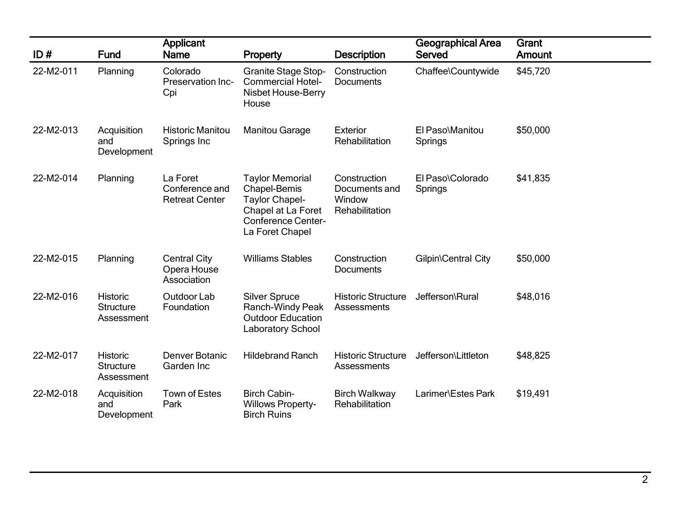| ID#       | <b>Fund</b>                                       | <b>Applicant</b><br><b>Name</b>                     | Property                                                                                                                              | <b>Description</b>                                        | Geographical Area<br>Served | Grant<br>Amount |
|-----------|---------------------------------------------------|-----------------------------------------------------|---------------------------------------------------------------------------------------------------------------------------------------|-----------------------------------------------------------|-----------------------------|-----------------|
| 22-M2-011 | Planning                                          | Colorado<br>Preservation Inc-<br>Cpi                | <b>Granite Stage Stop-</b><br><b>Commercial Hotel-</b><br>Nisbet House-Berry<br>House                                                 | Construction<br><b>Documents</b>                          | Chaffee\Countywide          | \$45,720        |
| 22-M2-013 | Acquisition<br>and<br>Development                 | <b>Historic Manitou</b><br>Springs Inc              | <b>Manitou Garage</b>                                                                                                                 | Exterior<br>Rehabilitation                                | El Paso\Manitou<br>Springs  | \$50,000        |
| 22-M2-014 | Planning                                          | La Foret<br>Conference and<br><b>Retreat Center</b> | <b>Taylor Memorial</b><br>Chapel-Bemis<br><b>Taylor Chapel-</b><br>Chapel at La Foret<br><b>Conference Center-</b><br>La Foret Chapel | Construction<br>Documents and<br>Window<br>Rehabilitation | El Paso\Colorado<br>Springs | \$41,835        |
| 22-M2-015 | Planning                                          | <b>Central City</b><br>Opera House<br>Association   | <b>Williams Stables</b>                                                                                                               | Construction<br><b>Documents</b>                          | Gilpin\Central City         | \$50,000        |
| 22-M2-016 | <b>Historic</b><br><b>Structure</b><br>Assessment | Outdoor Lab<br>Foundation                           | <b>Silver Spruce</b><br>Ranch-Windy Peak<br><b>Outdoor Education</b><br><b>Laboratory School</b>                                      | <b>Historic Structure</b><br>Assessments                  | Jefferson\Rural             | \$48,016        |
| 22-M2-017 | <b>Historic</b><br><b>Structure</b><br>Assessment | Denver Botanic<br>Garden Inc                        | <b>Hildebrand Ranch</b>                                                                                                               | <b>Historic Structure</b><br>Assessments                  | Jefferson\Littleton         | \$48,825        |
| 22-M2-018 | Acquisition<br>and<br>Development                 | <b>Town of Estes</b><br>Park                        | <b>Birch Cabin-</b><br><b>Willows Property-</b><br><b>Birch Ruins</b>                                                                 | <b>Birch Walkway</b><br>Rehabilitation                    | Larimer\Estes Park          | \$19,491        |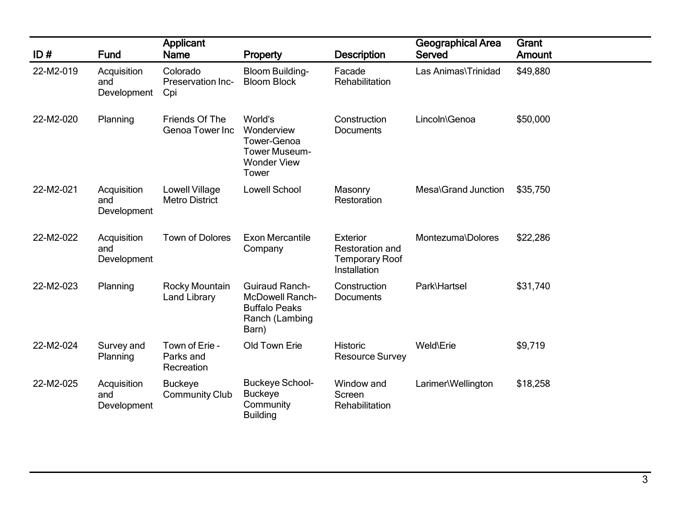| ID#       | <b>Fund</b>                       | <b>Applicant</b><br><b>Name</b>           | Property                                                                                           | <b>Description</b>                                                   | <b>Geographical Area</b><br>Served | Grant<br>Amount |
|-----------|-----------------------------------|-------------------------------------------|----------------------------------------------------------------------------------------------------|----------------------------------------------------------------------|------------------------------------|-----------------|
| 22-M2-019 | Acquisition<br>and<br>Development | Colorado<br>Preservation Inc-<br>Cpi      | <b>Bloom Building-</b><br><b>Bloom Block</b>                                                       | Facade<br>Rehabilitation                                             | Las Animas\Trinidad                | \$49,880        |
| 22-M2-020 | Planning                          | Friends Of The<br>Genoa Tower Inc         | World's<br>Wonderview<br>Tower-Genoa<br><b>Tower Museum-</b><br><b>Wonder View</b><br>Tower        | Construction<br><b>Documents</b>                                     | Lincoln\Genoa                      | \$50,000        |
| 22-M2-021 | Acquisition<br>and<br>Development | Lowell Village<br><b>Metro District</b>   | <b>Lowell School</b>                                                                               | Masonry<br>Restoration                                               | Mesa\Grand Junction                | \$35,750        |
| 22-M2-022 | Acquisition<br>and<br>Development | <b>Town of Dolores</b>                    | <b>Exon Mercantile</b><br>Company                                                                  | Exterior<br>Restoration and<br><b>Temporary Roof</b><br>Installation | Montezuma\Dolores                  | \$22,286        |
| 22-M2-023 | Planning                          | Rocky Mountain<br><b>Land Library</b>     | <b>Guiraud Ranch-</b><br><b>McDowell Ranch-</b><br><b>Buffalo Peaks</b><br>Ranch (Lambing<br>Barn) | Construction<br>Documents                                            | Park\Hartsel                       | \$31,740        |
| 22-M2-024 | Survey and<br>Planning            | Town of Erie -<br>Parks and<br>Recreation | Old Town Erie                                                                                      | <b>Historic</b><br><b>Resource Survey</b>                            | Weld\Erie                          | \$9,719         |
| 22-M2-025 | Acquisition<br>and<br>Development | <b>Buckeye</b><br><b>Community Club</b>   | <b>Buckeye School-</b><br><b>Buckeye</b><br>Community<br><b>Building</b>                           | Window and<br>Screen<br>Rehabilitation                               | Larimer\Wellington                 | \$18,258        |